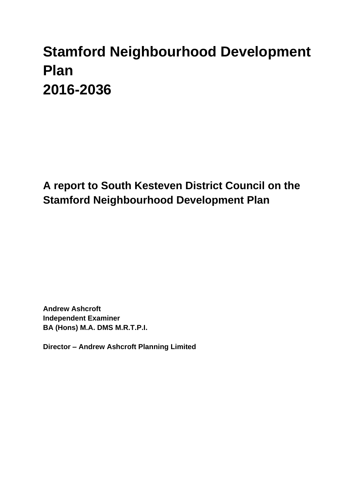# **Stamford Neighbourhood Development Plan 2016-2036**

**A report to South Kesteven District Council on the Stamford Neighbourhood Development Plan**

**Andrew Ashcroft Independent Examiner BA (Hons) M.A. DMS M.R.T.P.I.**

**Director – Andrew Ashcroft Planning Limited**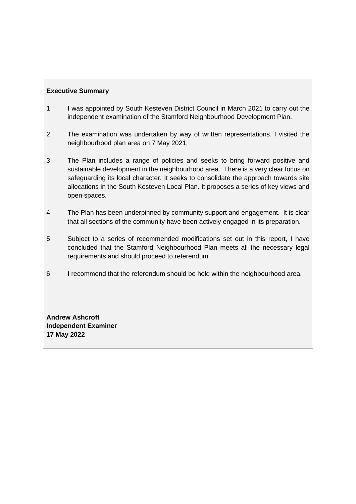# **Executive Summary**

- 1 I was appointed by South Kesteven District Council in March 2021 to carry out the independent examination of the Stamford Neighbourhood Development Plan.
- 2 The examination was undertaken by way of written representations. I visited the neighbourhood plan area on 7 May 2021.
- 3 The Plan includes a range of policies and seeks to bring forward positive and sustainable development in the neighbourhood area. There is a very clear focus on safeguarding its local character. It seeks to consolidate the approach towards site allocations in the South Kesteven Local Plan. It proposes a series of key views and open spaces.
- 4 The Plan has been underpinned by community support and engagement. It is clear that all sections of the community have been actively engaged in its preparation.
- 5 Subject to a series of recommended modifications set out in this report, I have concluded that the Stamford Neighbourhood Plan meets all the necessary legal requirements and should proceed to referendum.
- 6 I recommend that the referendum should be held within the neighbourhood area.

**Andrew Ashcroft Independent Examiner 17 May 2022**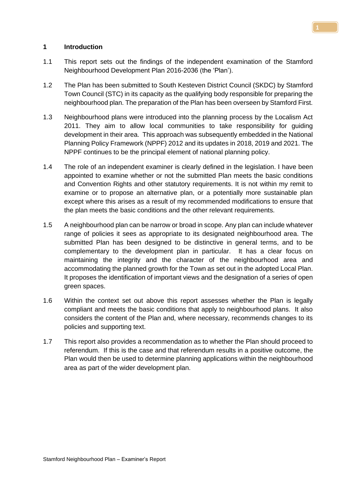#### **1 Introduction**

- 1.1 This report sets out the findings of the independent examination of the Stamford Neighbourhood Development Plan 2016-2036 (the 'Plan').
- 1.2 The Plan has been submitted to South Kesteven District Council (SKDC) by Stamford Town Council (STC) in its capacity as the qualifying body responsible for preparing the neighbourhood plan. The preparation of the Plan has been overseen by Stamford First.
- 1.3 Neighbourhood plans were introduced into the planning process by the Localism Act 2011. They aim to allow local communities to take responsibility for guiding development in their area. This approach was subsequently embedded in the National Planning Policy Framework (NPPF) 2012 and its updates in 2018, 2019 and 2021. The NPPF continues to be the principal element of national planning policy.
- 1.4 The role of an independent examiner is clearly defined in the legislation. I have been appointed to examine whether or not the submitted Plan meets the basic conditions and Convention Rights and other statutory requirements. It is not within my remit to examine or to propose an alternative plan, or a potentially more sustainable plan except where this arises as a result of my recommended modifications to ensure that the plan meets the basic conditions and the other relevant requirements.
- 1.5 A neighbourhood plan can be narrow or broad in scope. Any plan can include whatever range of policies it sees as appropriate to its designated neighbourhood area. The submitted Plan has been designed to be distinctive in general terms, and to be complementary to the development plan in particular. It has a clear focus on maintaining the integrity and the character of the neighbourhood area and accommodating the planned growth for the Town as set out in the adopted Local Plan. It proposes the identification of important views and the designation of a series of open green spaces.
- 1.6 Within the context set out above this report assesses whether the Plan is legally compliant and meets the basic conditions that apply to neighbourhood plans. It also considers the content of the Plan and, where necessary, recommends changes to its policies and supporting text.
- 1.7 This report also provides a recommendation as to whether the Plan should proceed to referendum. If this is the case and that referendum results in a positive outcome, the Plan would then be used to determine planning applications within the neighbourhood area as part of the wider development plan.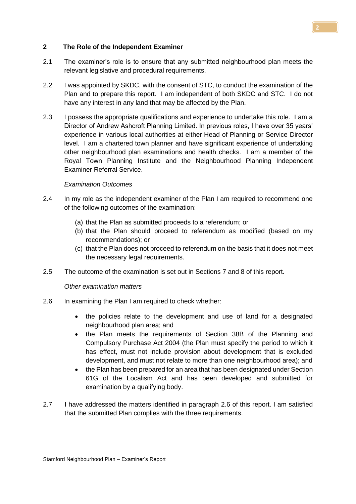# **2 The Role of the Independent Examiner**

- 2.1 The examiner's role is to ensure that any submitted neighbourhood plan meets the relevant legislative and procedural requirements.
- 2.2 I was appointed by SKDC, with the consent of STC, to conduct the examination of the Plan and to prepare this report. I am independent of both SKDC and STC. I do not have any interest in any land that may be affected by the Plan.
- 2.3 I possess the appropriate qualifications and experience to undertake this role. I am a Director of Andrew Ashcroft Planning Limited. In previous roles, I have over 35 years' experience in various local authorities at either Head of Planning or Service Director level. I am a chartered town planner and have significant experience of undertaking other neighbourhood plan examinations and health checks. I am a member of the Royal Town Planning Institute and the Neighbourhood Planning Independent Examiner Referral Service.

#### *Examination Outcomes*

- 2.4 In my role as the independent examiner of the Plan I am required to recommend one of the following outcomes of the examination:
	- (a) that the Plan as submitted proceeds to a referendum; or
	- (b) that the Plan should proceed to referendum as modified (based on my recommendations); or
	- (c) that the Plan does not proceed to referendum on the basis that it does not meet the necessary legal requirements.
- 2.5 The outcome of the examination is set out in Sections 7 and 8 of this report.

#### *Other examination matters*

- 2.6 In examining the Plan I am required to check whether:
	- the policies relate to the development and use of land for a designated neighbourhood plan area; and
	- the Plan meets the requirements of Section 38B of the Planning and Compulsory Purchase Act 2004 (the Plan must specify the period to which it has effect, must not include provision about development that is excluded development, and must not relate to more than one neighbourhood area); and
	- the Plan has been prepared for an area that has been designated under Section 61G of the Localism Act and has been developed and submitted for examination by a qualifying body.
- 2.7 I have addressed the matters identified in paragraph 2.6 of this report. I am satisfied that the submitted Plan complies with the three requirements.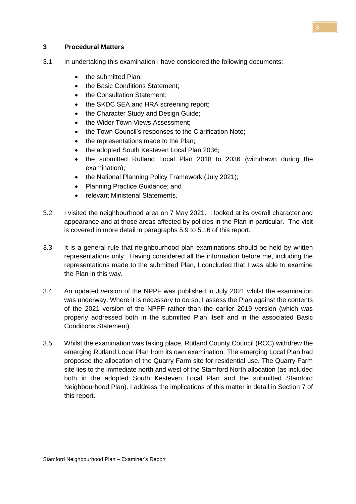#### **3 Procedural Matters**

- 3.1 In undertaking this examination I have considered the following documents:
	- the submitted Plan:
	- the Basic Conditions Statement;
	- the Consultation Statement;
	- the SKDC SEA and HRA screening report:
	- the Character Study and Design Guide;
	- the Wider Town Views Assessment:
	- the Town Council's responses to the Clarification Note;
	- the representations made to the Plan;
	- the adopted South Kesteven Local Plan 2036;
	- the submitted Rutland Local Plan 2018 to 2036 (withdrawn during the examination);
	- the National Planning Policy Framework (July 2021);
	- Planning Practice Guidance; and
	- relevant Ministerial Statements.
- 3.2 I visited the neighbourhood area on 7 May 2021. I looked at its overall character and appearance and at those areas affected by policies in the Plan in particular. The visit is covered in more detail in paragraphs 5.9 to 5.16 of this report.
- 3.3 It is a general rule that neighbourhood plan examinations should be held by written representations only. Having considered all the information before me, including the representations made to the submitted Plan, I concluded that I was able to examine the Plan in this way.
- 3.4 An updated version of the NPPF was published in July 2021 whilst the examination was underway. Where it is necessary to do so, I assess the Plan against the contents of the 2021 version of the NPPF rather than the earlier 2019 version (which was properly addressed both in the submitted Plan itself and in the associated Basic Conditions Statement).
- 3.5 Whilst the examination was taking place, Rutland County Council (RCC) withdrew the emerging Rutland Local Plan from its own examination. The emerging Local Plan had proposed the allocation of the Quarry Farm site for residential use. The Quarry Farm site lies to the immediate north and west of the Stamford North allocation (as included both in the adopted South Kesteven Local Plan and the submitted Stamford Neighbourhood Plan). I address the implications of this matter in detail in Section 7 of this report.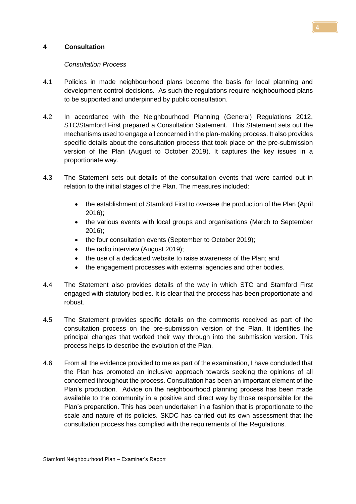#### **4 Consultation**

#### *Consultation Process*

- 4.1 Policies in made neighbourhood plans become the basis for local planning and development control decisions. As such the regulations require neighbourhood plans to be supported and underpinned by public consultation.
- 4.2 In accordance with the Neighbourhood Planning (General) Regulations 2012, STC/Stamford First prepared a Consultation Statement. This Statement sets out the mechanisms used to engage all concerned in the plan-making process. It also provides specific details about the consultation process that took place on the pre-submission version of the Plan (August to October 2019). It captures the key issues in a proportionate way.
- 4.3 The Statement sets out details of the consultation events that were carried out in relation to the initial stages of the Plan. The measures included:
	- the establishment of Stamford First to oversee the production of the Plan (April 2016);
	- the various events with local groups and organisations (March to September 2016);
	- the four consultation events (September to October 2019);
	- the radio interview (August 2019);
	- the use of a dedicated website to raise awareness of the Plan; and
	- the engagement processes with external agencies and other bodies.
- 4.4 The Statement also provides details of the way in which STC and Stamford First engaged with statutory bodies. It is clear that the process has been proportionate and robust.
- 4.5 The Statement provides specific details on the comments received as part of the consultation process on the pre-submission version of the Plan. It identifies the principal changes that worked their way through into the submission version. This process helps to describe the evolution of the Plan.
- 4.6 From all the evidence provided to me as part of the examination, I have concluded that the Plan has promoted an inclusive approach towards seeking the opinions of all concerned throughout the process. Consultation has been an important element of the Plan's production. Advice on the neighbourhood planning process has been made available to the community in a positive and direct way by those responsible for the Plan's preparation. This has been undertaken in a fashion that is proportionate to the scale and nature of its policies. SKDC has carried out its own assessment that the consultation process has complied with the requirements of the Regulations.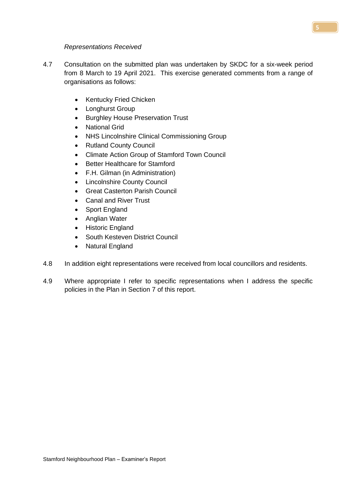#### *Representations Received*

- 4.7 Consultation on the submitted plan was undertaken by SKDC for a six-week period from 8 March to 19 April 2021. This exercise generated comments from a range of organisations as follows:
	- Kentucky Fried Chicken
	- Longhurst Group
	- Burghley House Preservation Trust
	- National Grid
	- NHS Lincolnshire Clinical Commissioning Group
	- Rutland County Council
	- Climate Action Group of Stamford Town Council
	- Better Healthcare for Stamford
	- F.H. Gilman (in Administration)
	- Lincolnshire County Council
	- Great Casterton Parish Council
	- Canal and River Trust
	- Sport England
	- Anglian Water
	- Historic England
	- South Kesteven District Council
	- Natural England
- 4.8 In addition eight representations were received from local councillors and residents.
- 4.9 Where appropriate I refer to specific representations when I address the specific policies in the Plan in Section 7 of this report.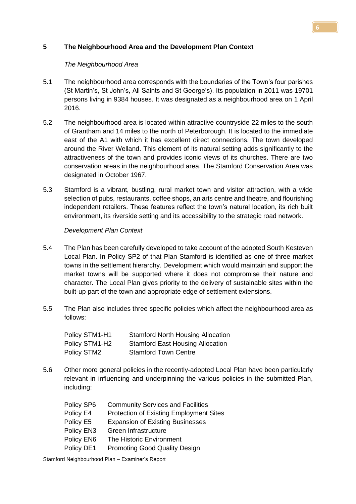# **5 The Neighbourhood Area and the Development Plan Context**

#### *The Neighbourhood Area*

- 5.1 The neighbourhood area corresponds with the boundaries of the Town's four parishes (St Martin's, St John's, All Saints and St George's). Its population in 2011 was 19701 persons living in 9384 houses. It was designated as a neighbourhood area on 1 April 2016.
- 5.2 The neighbourhood area is located within attractive countryside 22 miles to the south of Grantham and 14 miles to the north of Peterborough. It is located to the immediate east of the A1 with which it has excellent direct connections. The town developed around the River Welland. This element of its natural setting adds significantly to the attractiveness of the town and provides iconic views of its churches. There are two conservation areas in the neighbourhood area. The Stamford Conservation Area was designated in October 1967.
- 5.3 Stamford is a vibrant, bustling, rural market town and visitor attraction, with a wide selection of pubs, restaurants, coffee shops, an arts centre and theatre, and flourishing independent retailers. These features reflect the town's natural location, its rich built environment, its riverside setting and its accessibility to the strategic road network.

#### *Development Plan Context*

- 5.4 The Plan has been carefully developed to take account of the adopted South Kesteven Local Plan. In Policy SP2 of that Plan Stamford is identified as one of three market towns in the settlement hierarchy. Development which would maintain and support the market towns will be supported where it does not compromise their nature and character. The Local Plan gives priority to the delivery of sustainable sites within the built-up part of the town and appropriate edge of settlement extensions.
- 5.5 The Plan also includes three specific policies which affect the neighbourhood area as follows:

| Policy STM1-H1 | <b>Stamford North Housing Allocation</b> |
|----------------|------------------------------------------|
| Policy STM1-H2 | <b>Stamford East Housing Allocation</b>  |
| Policy STM2    | <b>Stamford Town Centre</b>              |

5.6 Other more general policies in the recently-adopted Local Plan have been particularly relevant in influencing and underpinning the various policies in the submitted Plan, including:

| Policy SP6 | <b>Community Services and Facilities</b>       |
|------------|------------------------------------------------|
| Policy E4  | <b>Protection of Existing Employment Sites</b> |
| Policy E5  | <b>Expansion of Existing Businesses</b>        |
| Policy EN3 | Green Infrastructure                           |
| Policy EN6 | The Historic Environment                       |
| Policy DE1 | <b>Promoting Good Quality Design</b>           |

Stamford Neighbourhood Plan – Examiner's Report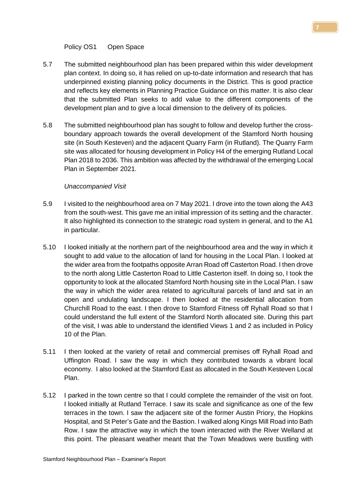Policy OS1 Open Space

- 5.7 The submitted neighbourhood plan has been prepared within this wider development plan context. In doing so, it has relied on up-to-date information and research that has underpinned existing planning policy documents in the District. This is good practice and reflects key elements in Planning Practice Guidance on this matter. It is also clear that the submitted Plan seeks to add value to the different components of the development plan and to give a local dimension to the delivery of its policies.
- 5.8 The submitted neighbourhood plan has sought to follow and develop further the crossboundary approach towards the overall development of the Stamford North housing site (in South Kesteven) and the adjacent Quarry Farm (in Rutland). The Quarry Farm site was allocated for housing development in Policy H4 of the emerging Rutland Local Plan 2018 to 2036. This ambition was affected by the withdrawal of the emerging Local Plan in September 2021.

# *Unaccompanied Visit*

- 5.9 I visited to the neighbourhood area on 7 May 2021. I drove into the town along the A43 from the south-west. This gave me an initial impression of its setting and the character. It also highlighted its connection to the strategic road system in general, and to the A1 in particular.
- 5.10 I looked initially at the northern part of the neighbourhood area and the way in which it sought to add value to the allocation of land for housing in the Local Plan. I looked at the wider area from the footpaths opposite Arran Road off Casterton Road. I then drove to the north along Little Casterton Road to Little Casterton itself. In doing so, I took the opportunity to look at the allocated Stamford North housing site in the Local Plan. I saw the way in which the wider area related to agricultural parcels of land and sat in an open and undulating landscape. I then looked at the residential allocation from Churchill Road to the east. I then drove to Stamford Fitness off Ryhall Road so that I could understand the full extent of the Stamford North allocated site. During this part of the visit, I was able to understand the identified Views 1 and 2 as included in Policy 10 of the Plan.
- 5.11 I then looked at the variety of retail and commercial premises off Ryhall Road and Uffington Road. I saw the way in which they contributed towards a vibrant local economy. I also looked at the Stamford East as allocated in the South Kesteven Local Plan.
- 5.12 I parked in the town centre so that I could complete the remainder of the visit on foot. I looked initially at Rutland Terrace. I saw its scale and significance as one of the few terraces in the town. I saw the adjacent site of the former Austin Priory, the Hopkins Hospital, and St Peter's Gate and the Bastion. I walked along Kings Mill Road into Bath Row. I saw the attractive way in which the town interacted with the River Welland at this point. The pleasant weather meant that the Town Meadows were bustling with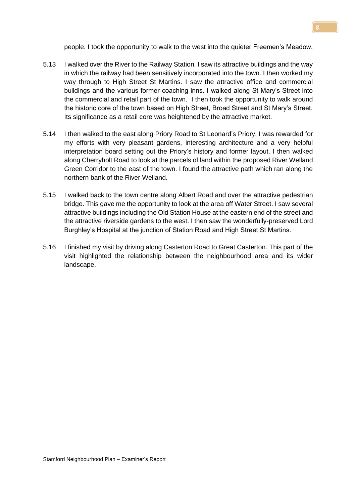people. I took the opportunity to walk to the west into the quieter Freemen's Meadow.

- 5.13 I walked over the River to the Railway Station. I saw its attractive buildings and the way in which the railway had been sensitively incorporated into the town. I then worked my way through to High Street St Martins. I saw the attractive office and commercial buildings and the various former coaching inns. I walked along St Mary's Street into the commercial and retail part of the town. I then took the opportunity to walk around the historic core of the town based on High Street, Broad Street and St Mary's Street. Its significance as a retail core was heightened by the attractive market.
- 5.14 I then walked to the east along Priory Road to St Leonard's Priory. I was rewarded for my efforts with very pleasant gardens, interesting architecture and a very helpful interpretation board setting out the Priory's history and former layout. I then walked along Cherryholt Road to look at the parcels of land within the proposed River Welland Green Corridor to the east of the town. I found the attractive path which ran along the northern bank of the River Welland.
- 5.15 I walked back to the town centre along Albert Road and over the attractive pedestrian bridge. This gave me the opportunity to look at the area off Water Street. I saw several attractive buildings including the Old Station House at the eastern end of the street and the attractive riverside gardens to the west. I then saw the wonderfully-preserved Lord Burghley's Hospital at the junction of Station Road and High Street St Martins.
- 5.16 I finished my visit by driving along Casterton Road to Great Casterton. This part of the visit highlighted the relationship between the neighbourhood area and its wider landscape.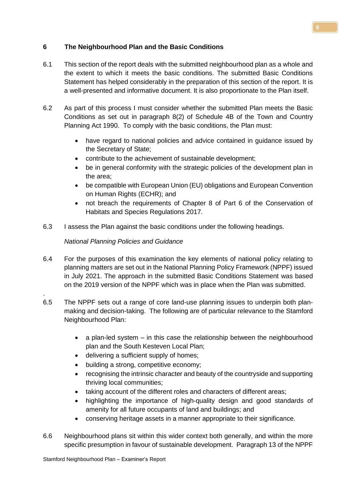# **6 The Neighbourhood Plan and the Basic Conditions**

- 6.1 This section of the report deals with the submitted neighbourhood plan as a whole and the extent to which it meets the basic conditions. The submitted Basic Conditions Statement has helped considerably in the preparation of this section of the report. It is a well-presented and informative document. It is also proportionate to the Plan itself.
- 6.2 As part of this process I must consider whether the submitted Plan meets the Basic Conditions as set out in paragraph 8(2) of Schedule 4B of the Town and Country Planning Act 1990. To comply with the basic conditions, the Plan must:
	- have regard to national policies and advice contained in guidance issued by the Secretary of State;
	- contribute to the achievement of sustainable development;
	- be in general conformity with the strategic policies of the development plan in the area;
	- be compatible with European Union (EU) obligations and European Convention on Human Rights (ECHR); and
	- not breach the requirements of Chapter 8 of Part 6 of the Conservation of Habitats and Species Regulations 2017.
- 6.3 I assess the Plan against the basic conditions under the following headings.

# *National Planning Policies and Guidance*

.

- 6.4 For the purposes of this examination the key elements of national policy relating to planning matters are set out in the National Planning Policy Framework (NPPF) issued in July 2021. The approach in the submitted Basic Conditions Statement was based on the 2019 version of the NPPF which was in place when the Plan was submitted.
- 6.5 The NPPF sets out a range of core land-use planning issues to underpin both planmaking and decision-taking. The following are of particular relevance to the Stamford Neighbourhood Plan:
	- $\bullet$  a plan-led system  $-$  in this case the relationship between the neighbourhood plan and the South Kesteven Local Plan;
	- delivering a sufficient supply of homes;
	- building a strong, competitive economy;
	- recognising the intrinsic character and beauty of the countryside and supporting thriving local communities;
	- taking account of the different roles and characters of different areas;
	- highlighting the importance of high-quality design and good standards of amenity for all future occupants of land and buildings; and
	- conserving heritage assets in a manner appropriate to their significance.
- 6.6 Neighbourhood plans sit within this wider context both generally, and within the more specific presumption in favour of sustainable development. Paragraph 13 of the NPPF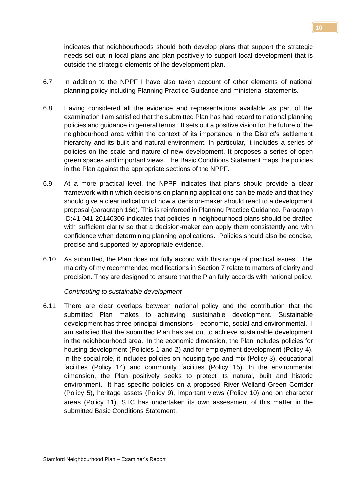indicates that neighbourhoods should both develop plans that support the strategic needs set out in local plans and plan positively to support local development that is outside the strategic elements of the development plan.

- 6.7 In addition to the NPPF I have also taken account of other elements of national planning policy including Planning Practice Guidance and ministerial statements.
- 6.8 Having considered all the evidence and representations available as part of the examination I am satisfied that the submitted Plan has had regard to national planning policies and guidance in general terms. It sets out a positive vision for the future of the neighbourhood area within the context of its importance in the District's settlement hierarchy and its built and natural environment. In particular, it includes a series of policies on the scale and nature of new development. It proposes a series of open green spaces and important views. The Basic Conditions Statement maps the policies in the Plan against the appropriate sections of the NPPF.
- 6.9 At a more practical level, the NPPF indicates that plans should provide a clear framework within which decisions on planning applications can be made and that they should give a clear indication of how a decision-maker should react to a development proposal (paragraph 16d). This is reinforced in Planning Practice Guidance. Paragraph ID:41-041-20140306 indicates that policies in neighbourhood plans should be drafted with sufficient clarity so that a decision-maker can apply them consistently and with confidence when determining planning applications. Policies should also be concise, precise and supported by appropriate evidence.
- 6.10 As submitted, the Plan does not fully accord with this range of practical issues. The majority of my recommended modifications in Section 7 relate to matters of clarity and precision. They are designed to ensure that the Plan fully accords with national policy.

*Contributing to sustainable development*

6.11 There are clear overlaps between national policy and the contribution that the submitted Plan makes to achieving sustainable development. Sustainable development has three principal dimensions – economic, social and environmental. I am satisfied that the submitted Plan has set out to achieve sustainable development in the neighbourhood area. In the economic dimension, the Plan includes policies for housing development (Policies 1 and 2) and for employment development (Policy 4). In the social role, it includes policies on housing type and mix (Policy 3), educational facilities (Policy 14) and community facilities (Policy 15). In the environmental dimension, the Plan positively seeks to protect its natural, built and historic environment. It has specific policies on a proposed River Welland Green Corridor (Policy 5), heritage assets (Policy 9), important views (Policy 10) and on character areas (Policy 11). STC has undertaken its own assessment of this matter in the submitted Basic Conditions Statement.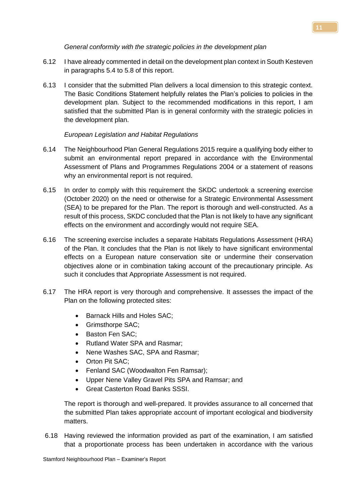#### *General conformity with the strategic policies in the development plan*

- 6.12 I have already commented in detail on the development plan context in South Kesteven in paragraphs 5.4 to 5.8 of this report.
- 6.13 I consider that the submitted Plan delivers a local dimension to this strategic context. The Basic Conditions Statement helpfully relates the Plan's policies to policies in the development plan. Subject to the recommended modifications in this report, I am satisfied that the submitted Plan is in general conformity with the strategic policies in the development plan.

# *European Legislation and Habitat Regulations*

- 6.14 The Neighbourhood Plan General Regulations 2015 require a qualifying body either to submit an environmental report prepared in accordance with the Environmental Assessment of Plans and Programmes Regulations 2004 or a statement of reasons why an environmental report is not required.
- 6.15 In order to comply with this requirement the SKDC undertook a screening exercise (October 2020) on the need or otherwise for a Strategic Environmental Assessment (SEA) to be prepared for the Plan. The report is thorough and well-constructed. As a result of this process, SKDC concluded that the Plan is not likely to have any significant effects on the environment and accordingly would not require SEA.
- 6.16 The screening exercise includes a separate Habitats Regulations Assessment (HRA) of the Plan. It concludes that the Plan is not likely to have significant environmental effects on a European nature conservation site or undermine their conservation objectives alone or in combination taking account of the precautionary principle. As such it concludes that Appropriate Assessment is not required.
- 6.17 The HRA report is very thorough and comprehensive. It assesses the impact of the Plan on the following protected sites:
	- Barnack Hills and Holes SAC;
	- Grimsthorpe SAC;
	- Baston Fen SAC;
	- Rutland Water SPA and Rasmar;
	- Nene Washes SAC, SPA and Rasmar;
	- Orton Pit SAC:
	- Fenland SAC (Woodwalton Fen Ramsar);
	- Upper Nene Valley Gravel Pits SPA and Ramsar; and
	- Great Casterton Road Banks SSSI.

The report is thorough and well-prepared. It provides assurance to all concerned that the submitted Plan takes appropriate account of important ecological and biodiversity matters.

6.18 Having reviewed the information provided as part of the examination, I am satisfied that a proportionate process has been undertaken in accordance with the various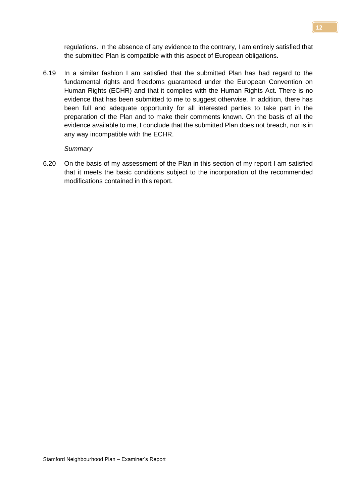regulations. In the absence of any evidence to the contrary, I am entirely satisfied that the submitted Plan is compatible with this aspect of European obligations.

6.19 In a similar fashion I am satisfied that the submitted Plan has had regard to the fundamental rights and freedoms guaranteed under the European Convention on Human Rights (ECHR) and that it complies with the Human Rights Act. There is no evidence that has been submitted to me to suggest otherwise. In addition, there has been full and adequate opportunity for all interested parties to take part in the preparation of the Plan and to make their comments known. On the basis of all the evidence available to me, I conclude that the submitted Plan does not breach, nor is in any way incompatible with the ECHR.

#### *Summary*

6.20 On the basis of my assessment of the Plan in this section of my report I am satisfied that it meets the basic conditions subject to the incorporation of the recommended modifications contained in this report.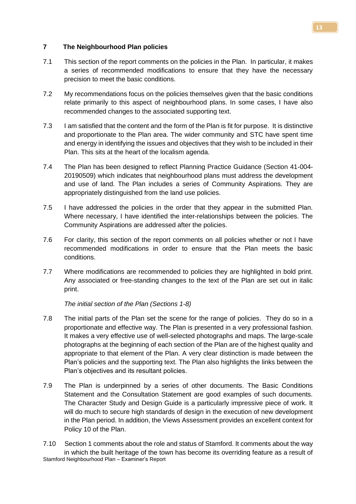#### **7 The Neighbourhood Plan policies**

- 7.1 This section of the report comments on the policies in the Plan. In particular, it makes a series of recommended modifications to ensure that they have the necessary precision to meet the basic conditions.
- 7.2 My recommendations focus on the policies themselves given that the basic conditions relate primarily to this aspect of neighbourhood plans. In some cases, I have also recommended changes to the associated supporting text.
- 7.3 I am satisfied that the content and the form of the Plan is fit for purpose. It is distinctive and proportionate to the Plan area. The wider community and STC have spent time and energy in identifying the issues and objectives that they wish to be included in their Plan. This sits at the heart of the localism agenda.
- 7.4 The Plan has been designed to reflect Planning Practice Guidance (Section 41-004- 20190509) which indicates that neighbourhood plans must address the development and use of land. The Plan includes a series of Community Aspirations. They are appropriately distinguished from the land use policies.
- 7.5 I have addressed the policies in the order that they appear in the submitted Plan. Where necessary, I have identified the inter-relationships between the policies. The Community Aspirations are addressed after the policies.
- 7.6 For clarity, this section of the report comments on all policies whether or not I have recommended modifications in order to ensure that the Plan meets the basic conditions.
- 7.7 Where modifications are recommended to policies they are highlighted in bold print. Any associated or free-standing changes to the text of the Plan are set out in italic print.

*The initial section of the Plan (Sections 1-8)*

- 7.8 The initial parts of the Plan set the scene for the range of policies. They do so in a proportionate and effective way. The Plan is presented in a very professional fashion. It makes a very effective use of well-selected photographs and maps. The large-scale photographs at the beginning of each section of the Plan are of the highest quality and appropriate to that element of the Plan. A very clear distinction is made between the Plan's policies and the supporting text. The Plan also highlights the links between the Plan's objectives and its resultant policies.
- 7.9 The Plan is underpinned by a series of other documents. The Basic Conditions Statement and the Consultation Statement are good examples of such documents. The Character Study and Design Guide is a particularly impressive piece of work. It will do much to secure high standards of design in the execution of new development in the Plan period. In addition, the Views Assessment provides an excellent context for Policy 10 of the Plan.

Stamford Neighbourhood Plan – Examiner's Report 7.10 Section 1 comments about the role and status of Stamford. It comments about the way in which the built heritage of the town has become its overriding feature as a result of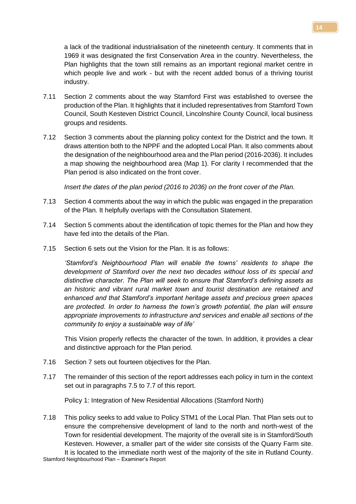a lack of the traditional industrialisation of the nineteenth century. It comments that in 1969 it was designated the first Conservation Area in the country. Nevertheless, the Plan highlights that the town still remains as an important regional market centre in which people live and work - but with the recent added bonus of a thriving tourist industry.

- 7.11 Section 2 comments about the way Stamford First was established to oversee the production of the Plan. It highlights that it included representatives from Stamford Town Council, South Kesteven District Council, Lincolnshire County Council, local business groups and residents.
- 7.12 Section 3 comments about the planning policy context for the District and the town. It draws attention both to the NPPF and the adopted Local Plan. It also comments about the designation of the neighbourhood area and the Plan period (2016-2036). It includes a map showing the neighbourhood area (Map 1). For clarity I recommended that the Plan period is also indicated on the front cover.

*Insert the dates of the plan period (2016 to 2036) on the front cover of the Plan.*

- 7.13 Section 4 comments about the way in which the public was engaged in the preparation of the Plan. It helpfully overlaps with the Consultation Statement.
- 7.14 Section 5 comments about the identification of topic themes for the Plan and how they have fed into the details of the Plan.
- 7.15 Section 6 sets out the Vision for the Plan. It is as follows:

*'Stamford's Neighbourhood Plan will enable the towns' residents to shape the development of Stamford over the next two decades without loss of its special and distinctive character. The Plan will seek to ensure that Stamford's defining assets as an historic and vibrant rural market town and tourist destination are retained and enhanced and that Stamford's important heritage assets and precious green spaces are protected. In order to harness the town's growth potential, the plan will ensure appropriate improvements to infrastructure and services and enable all sections of the community to enjoy a sustainable way of life'*

This Vision properly reflects the character of the town. In addition, it provides a clear and distinctive approach for the Plan period.

- 7.16 Section 7 sets out fourteen objectives for the Plan.
- 7.17 The remainder of this section of the report addresses each policy in turn in the context set out in paragraphs 7.5 to 7.7 of this report.

Policy 1: Integration of New Residential Allocations (Stamford North)

7.18 This policy seeks to add value to Policy STM1 of the Local Plan. That Plan sets out to ensure the comprehensive development of land to the north and north-west of the Town for residential development. The majority of the overall site is in Stamford/South Kesteven. However, a smaller part of the wider site consists of the Quarry Farm site. It is located to the immediate north west of the majority of the site in Rutland County.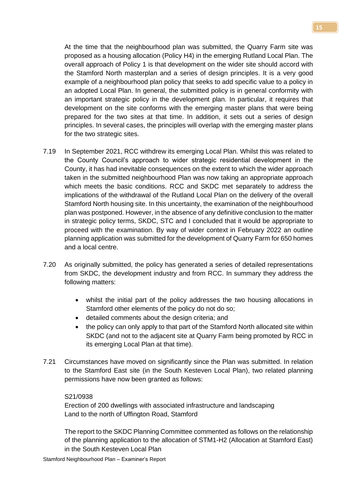At the time that the neighbourhood plan was submitted, the Quarry Farm site was proposed as a housing allocation (Policy H4) in the emerging Rutland Local Plan. The overall approach of Policy 1 is that development on the wider site should accord with the Stamford North masterplan and a series of design principles. It is a very good example of a neighbourhood plan policy that seeks to add specific value to a policy in an adopted Local Plan. In general, the submitted policy is in general conformity with an important strategic policy in the development plan. In particular, it requires that development on the site conforms with the emerging master plans that were being prepared for the two sites at that time. In addition, it sets out a series of design principles. In several cases, the principles will overlap with the emerging master plans for the two strategic sites.

- 7.19 In September 2021, RCC withdrew its emerging Local Plan. Whilst this was related to the County Council's approach to wider strategic residential development in the County, it has had inevitable consequences on the extent to which the wider approach taken in the submitted neighbourhood Plan was now taking an appropriate approach which meets the basic conditions. RCC and SKDC met separately to address the implications of the withdrawal of the Rutland Local Plan on the delivery of the overall Stamford North housing site. In this uncertainty, the examination of the neighbourhood plan was postponed. However, in the absence of any definitive conclusion to the matter in strategic policy terms, SKDC, STC and I concluded that it would be appropriate to proceed with the examination. By way of wider context in February 2022 an outline planning application was submitted for the development of Quarry Farm for 650 homes and a local centre.
- 7.20 As originally submitted, the policy has generated a series of detailed representations from SKDC, the development industry and from RCC. In summary they address the following matters:
	- whilst the initial part of the policy addresses the two housing allocations in Stamford other elements of the policy do not do so;
	- detailed comments about the design criteria; and
	- the policy can only apply to that part of the Stamford North allocated site within SKDC (and not to the adjacent site at Quarry Farm being promoted by RCC in its emerging Local Plan at that time).
- 7.21 Circumstances have moved on significantly since the Plan was submitted. In relation to the Stamford East site (in the South Kesteven Local Plan), two related planning permissions have now been granted as follows:

#### S21/0938

Erection of 200 dwellings with associated infrastructure and landscaping Land to the north of Uffington Road, Stamford

The report to the SKDC Planning Committee commented as follows on the relationship of the planning application to the allocation of STM1-H2 (Allocation at Stamford East) in the South Kesteven Local Plan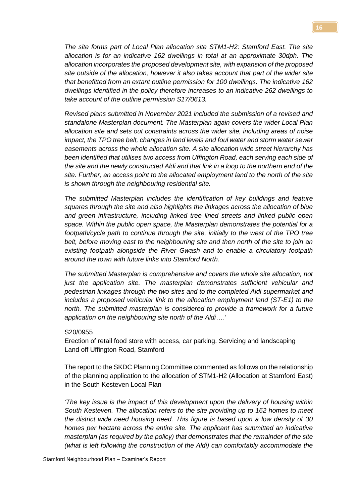*The site forms part of Local Plan allocation site STM1-H2: Stamford East. The site allocation is for an indicative 162 dwellings in total at an approximate 30dph. The allocation incorporates the proposed development site, with expansion of the proposed site outside of the allocation, however it also takes account that part of the wider site that benefitted from an extant outline permission for 100 dwellings. The indicative 162 dwellings identified in the policy therefore increases to an indicative 262 dwellings to take account of the outline permission S17/0613.*

*Revised plans submitted in November 2021 included the submission of a revised and standalone Masterplan document. The Masterplan again covers the wider Local Plan allocation site and sets out constraints across the wider site, including areas of noise impact, the TPO tree belt, changes in land levels and foul water and storm water sewer easements across the whole allocation site. A site allocation wide street hierarchy has been identified that utilises two access from Uffington Road, each serving each side of the site and the newly constructed Aldi and that link in a loop to the northern end of the site. Further, an access point to the allocated employment land to the north of the site is shown through the neighbouring residential site.*

*The submitted Masterplan includes the identification of key buildings and feature squares through the site and also highlights the linkages across the allocation of blue and green infrastructure, including linked tree lined streets and linked public open space. Within the public open space, the Masterplan demonstrates the potential for a footpath/cycle path to continue through the site, initially to the west of the TPO tree belt, before moving east to the neighbouring site and then north of the site to join an existing footpath alongside the River Gwash and to enable a circulatory footpath around the town with future links into Stamford North.*

*The submitted Masterplan is comprehensive and covers the whole site allocation, not just the application site. The masterplan demonstrates sufficient vehicular and pedestrian linkages through the two sites and to the completed Aldi supermarket and includes a proposed vehicular link to the allocation employment land (ST-E1) to the north. The submitted masterplan is considered to provide a framework for a future application on the neighbouring site north of the Aldi….'*

#### S20/0955

Erection of retail food store with access, car parking. Servicing and landscaping Land off Uffington Road, Stamford

The report to the SKDC Planning Committee commented as follows on the relationship of the planning application to the allocation of STM1-H2 (Allocation at Stamford East) in the South Kesteven Local Plan

*'The key issue is the impact of this development upon the delivery of housing within South Kesteven. The allocation refers to the site providing up to 162 homes to meet the district wide need housing need. This figure is based upon a low density of 30 homes per hectare across the entire site. The applicant has submitted an indicative masterplan (as required by the policy) that demonstrates that the remainder of the site (what is left following the construction of the Aldi) can comfortably accommodate the*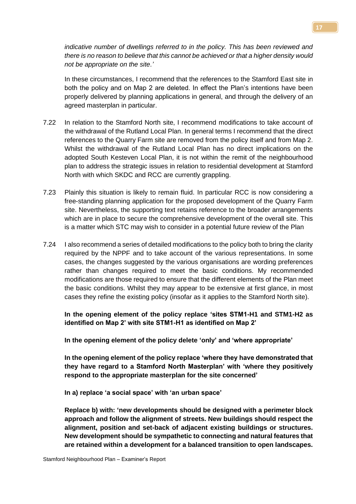*indicative number of dwellings referred to in the policy. This has been reviewed and there is no reason to believe that this cannot be achieved or that a higher density would not be appropriate on the site.'*

In these circumstances, I recommend that the references to the Stamford East site in both the policy and on Map 2 are deleted. In effect the Plan's intentions have been properly delivered by planning applications in general, and through the delivery of an agreed masterplan in particular.

- 7.22 In relation to the Stamford North site, I recommend modifications to take account of the withdrawal of the Rutland Local Plan. In general terms I recommend that the direct references to the Quarry Farm site are removed from the policy itself and from Map 2. Whilst the withdrawal of the Rutland Local Plan has no direct implications on the adopted South Kesteven Local Plan, it is not within the remit of the neighbourhood plan to address the strategic issues in relation to residential development at Stamford North with which SKDC and RCC are currently grappling.
- 7.23 Plainly this situation is likely to remain fluid. In particular RCC is now considering a free-standing planning application for the proposed development of the Quarry Farm site. Nevertheless, the supporting text retains reference to the broader arrangements which are in place to secure the comprehensive development of the overall site. This is a matter which STC may wish to consider in a potential future review of the Plan
- 7.24 I also recommend a series of detailed modifications to the policy both to bring the clarity required by the NPPF and to take account of the various representations. In some cases, the changes suggested by the various organisations are wording preferences rather than changes required to meet the basic conditions. My recommended modifications are those required to ensure that the different elements of the Plan meet the basic conditions. Whilst they may appear to be extensive at first glance, in most cases they refine the existing policy (insofar as it applies to the Stamford North site).

**In the opening element of the policy replace 'sites STM1-H1 and STM1-H2 as identified on Map 2' with site STM1-H1 as identified on Map 2'**

**In the opening element of the policy delete 'only' and 'where appropriate'**

**In the opening element of the policy replace 'where they have demonstrated that they have regard to a Stamford North Masterplan' with 'where they positively respond to the appropriate masterplan for the site concerned'**

**In a) replace 'a social space' with 'an urban space'**

**Replace b) with: 'new developments should be designed with a perimeter block approach and follow the alignment of streets. New buildings should respect the alignment, position and set-back of adjacent existing buildings or structures. New development should be sympathetic to connecting and natural features that are retained within a development for a balanced transition to open landscapes.**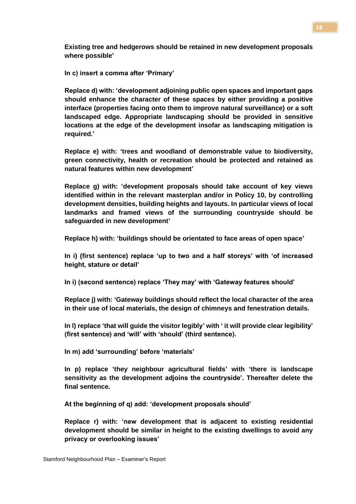**Existing tree and hedgerows should be retained in new development proposals where possible'**

**In c) insert a comma after 'Primary'**

**Replace d) with: 'development adjoining public open spaces and important gaps should enhance the character of these spaces by either providing a positive interface (properties facing onto them to improve natural surveillance) or a soft landscaped edge. Appropriate landscaping should be provided in sensitive locations at the edge of the development insofar as landscaping mitigation is required.'**

**Replace e) with: 'trees and woodland of demonstrable value to biodiversity, green connectivity, health or recreation should be protected and retained as natural features within new development'**

**Replace g) with: 'development proposals should take account of key views identified within in the relevant masterplan and/or in Policy 10, by controlling development densities, building heights and layouts. In particular views of local landmarks and framed views of the surrounding countryside should be safeguarded in new development'**

**Replace h) with: 'buildings should be orientated to face areas of open space'**

**In i) (first sentence) replace 'up to two and a half storeys' with 'of increased height, stature or detail'**

**In i) (second sentence) replace 'They may' with 'Gateway features should'**

**Replace j) with: 'Gateway buildings should reflect the local character of the area in their use of local materials, the design of chimneys and fenestration details.** 

**In l) replace 'that will guide the visitor legibly' with ' it will provide clear legibility' (first sentence) and 'will' with 'should' (third sentence).**

**In m) add 'surrounding' before 'materials'**

**In p) replace 'they neighbour agricultural fields' with 'there is landscape sensitivity as the development adjoins the countryside'. Thereafter delete the final sentence.** 

**At the beginning of q) add: 'development proposals should'**

**Replace r) with: 'new development that is adjacent to existing residential development should be similar in height to the existing dwellings to avoid any privacy or overlooking issues'**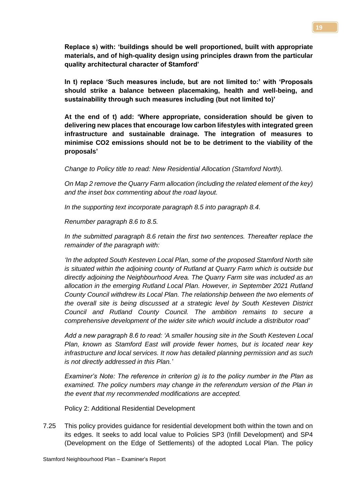**Replace s) with: 'buildings should be well proportioned, built with appropriate materials, and of high-quality design using principles drawn from the particular quality architectural character of Stamford'**

**In t) replace 'Such measures include, but are not limited to:' with 'Proposals should strike a balance between placemaking, health and well-being, and sustainability through such measures including (but not limited to)'**

**At the end of t) add: 'Where appropriate, consideration should be given to delivering new places that encourage low carbon lifestyles with integrated green infrastructure and sustainable drainage. The integration of measures to minimise CO2 emissions should not be to be detriment to the viability of the proposals'**

*Change to Policy title to read: New Residential Allocation (Stamford North).*

*On Map 2 remove the Quarry Farm allocation (including the related element of the key) and the inset box commenting about the road layout.*

*In the supporting text incorporate paragraph 8.5 into paragraph 8.4.*

*Renumber paragraph 8.6 to 8.5.*

*In the submitted paragraph 8.6 retain the first two sentences. Thereafter replace the remainder of the paragraph with:*

*'In the adopted South Kesteven Local Plan, some of the proposed Stamford North site is situated within the adjoining county of Rutland at Quarry Farm which is outside but directly adjoining the Neighbourhood Area. The Quarry Farm site was included as an allocation in the emerging Rutland Local Plan. However, in September 2021 Rutland County Council withdrew its Local Plan. The relationship between the two elements of the overall site is being discussed at a strategic level by South Kesteven District Council and Rutland County Council. The ambition remains to secure a comprehensive development of the wider site which would include a distributor road'*

*Add a new paragraph 8.6 to read: 'A smaller housing site in the South Kesteven Local Plan, known as Stamford East will provide fewer homes, but is located near key infrastructure and local services. It now has detailed planning permission and as such is not directly addressed in this Plan.'*

*Examiner's Note: The reference in criterion g) is to the policy number in the Plan as examined. The policy numbers may change in the referendum version of the Plan in the event that my recommended modifications are accepted.*

Policy 2: Additional Residential Development

7.25 This policy provides guidance for residential development both within the town and on its edges. It seeks to add local value to Policies SP3 (Infill Development) and SP4 (Development on the Edge of Settlements) of the adopted Local Plan. The policy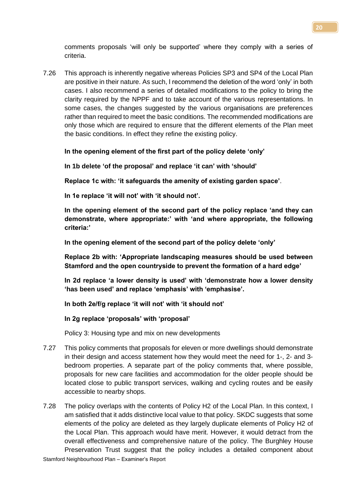comments proposals 'will only be supported' where they comply with a series of criteria.

7.26 This approach is inherently negative whereas Policies SP3 and SP4 of the Local Plan are positive in their nature. As such, I recommend the deletion of the word 'only' in both cases. I also recommend a series of detailed modifications to the policy to bring the clarity required by the NPPF and to take account of the various representations. In some cases, the changes suggested by the various organisations are preferences rather than required to meet the basic conditions. The recommended modifications are only those which are required to ensure that the different elements of the Plan meet the basic conditions. In effect they refine the existing policy.

#### **In the opening element of the first part of the policy delete 'only'**

**In 1b delete 'of the proposal' and replace 'it can' with 'should'**

**Replace 1c with: 'it safeguards the amenity of existing garden space'**.

**In 1e replace 'it will not' with 'it should not'.** 

**In the opening element of the second part of the policy replace 'and they can demonstrate, where appropriate:' with 'and where appropriate, the following criteria:'**

**In the opening element of the second part of the policy delete 'only'**

**Replace 2b with: 'Appropriate landscaping measures should be used between Stamford and the open countryside to prevent the formation of a hard edge'**

**In 2d replace 'a lower density is used' with 'demonstrate how a lower density 'has been used' and replace 'emphasis' with 'emphasise'.**

**In both 2e/f/g replace 'it will not' with 'it should not'** 

**In 2g replace 'proposals' with 'proposal'**

Policy 3: Housing type and mix on new developments

- 7.27 This policy comments that proposals for eleven or more dwellings should demonstrate in their design and access statement how they would meet the need for 1-, 2- and 3 bedroom properties. A separate part of the policy comments that, where possible, proposals for new care facilities and accommodation for the older people should be located close to public transport services, walking and cycling routes and be easily accessible to nearby shops.
- 7.28 The policy overlaps with the contents of Policy H2 of the Local Plan. In this context, I am satisfied that it adds distinctive local value to that policy. SKDC suggests that some elements of the policy are deleted as they largely duplicate elements of Policy H2 of the Local Plan. This approach would have merit. However, it would detract from the overall effectiveness and comprehensive nature of the policy. The Burghley House Preservation Trust suggest that the policy includes a detailed component about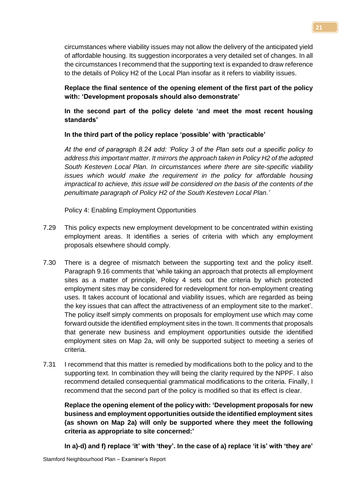**21**

circumstances where viability issues may not allow the delivery of the anticipated yield of affordable housing. Its suggestion incorporates a very detailed set of changes. In all the circumstances I recommend that the supporting text is expanded to draw reference to the details of Policy H2 of the Local Plan insofar as it refers to viability issues.

# **Replace the final sentence of the opening element of the first part of the policy with: 'Development proposals should also demonstrate'**

**In the second part of the policy delete 'and meet the most recent housing standards'**

# **In the third part of the policy replace 'possible' with 'practicable'**

*At the end of paragraph 8.24 add: 'Policy 3 of the Plan sets out a specific policy to address this important matter. It mirrors the approach taken in Policy H2 of the adopted South Kesteven Local Plan. In circumstances where there are site-specific viability issues which would make the requirement in the policy for affordable housing impractical to achieve, this issue will be considered on the basis of the contents of the penultimate paragraph of Policy H2 of the South Kesteven Local Plan.'*

Policy 4: Enabling Employment Opportunities

- 7.29 This policy expects new employment development to be concentrated within existing employment areas. It identifies a series of criteria with which any employment proposals elsewhere should comply.
- 7.30 There is a degree of mismatch between the supporting text and the policy itself. Paragraph 9.16 comments that 'while taking an approach that protects all employment sites as a matter of principle, Policy 4 sets out the criteria by which protected employment sites may be considered for redevelopment for non-employment creating uses. It takes account of locational and viability issues, which are regarded as being the key issues that can affect the attractiveness of an employment site to the market'. The policy itself simply comments on proposals for employment use which may come forward outside the identified employment sites in the town. It comments that proposals that generate new business and employment opportunities outside the identified employment sites on Map 2a, will only be supported subject to meeting a series of criteria.
- 7.31 I recommend that this matter is remedied by modifications both to the policy and to the supporting text. In combination they will being the clarity required by the NPPF. I also recommend detailed consequential grammatical modifications to the criteria. Finally, I recommend that the second part of the policy is modified so that its effect is clear.

**Replace the opening element of the policy with: 'Development proposals for new business and employment opportunities outside the identified employment sites (as shown on Map 2a) will only be supported where they meet the following criteria as appropriate to site concerned:'**

**In a)-d) and f) replace 'it' with 'they'. In the case of a) replace 'it is' with 'they are'**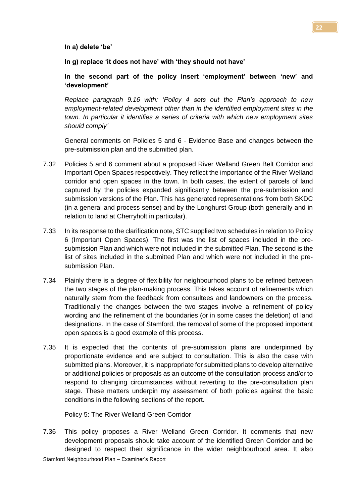#### **In a) delete 'be'**

**In g) replace 'it does not have' with 'they should not have'**

# **In the second part of the policy insert 'employment' between 'new' and 'development'**

*Replace paragraph 9.16 with: 'Policy 4 sets out the Plan's approach to new employment-related development other than in the identified employment sites in the town. In particular it identifies a series of criteria with which new employment sites should comply'*

General comments on Policies 5 and 6 - Evidence Base and changes between the pre-submission plan and the submitted plan.

- 7.32 Policies 5 and 6 comment about a proposed River Welland Green Belt Corridor and Important Open Spaces respectively. They reflect the importance of the River Welland corridor and open spaces in the town. In both cases, the extent of parcels of land captured by the policies expanded significantly between the pre-submission and submission versions of the Plan. This has generated representations from both SKDC (in a general and process sense) and by the Longhurst Group (both generally and in relation to land at Cherryholt in particular).
- 7.33 In its response to the clarification note, STC supplied two schedules in relation to Policy 6 (Important Open Spaces). The first was the list of spaces included in the presubmission Plan and which were not included in the submitted Plan. The second is the list of sites included in the submitted Plan and which were not included in the presubmission Plan.
- 7.34 Plainly there is a degree of flexibility for neighbourhood plans to be refined between the two stages of the plan-making process. This takes account of refinements which naturally stem from the feedback from consultees and landowners on the process. Traditionally the changes between the two stages involve a refinement of policy wording and the refinement of the boundaries (or in some cases the deletion) of land designations. In the case of Stamford, the removal of some of the proposed important open spaces is a good example of this process.
- 7.35 It is expected that the contents of pre-submission plans are underpinned by proportionate evidence and are subject to consultation. This is also the case with submitted plans. Moreover, it is inappropriate for submitted plans to develop alternative or additional policies or proposals as an outcome of the consultation process and/or to respond to changing circumstances without reverting to the pre-consultation plan stage. These matters underpin my assessment of both policies against the basic conditions in the following sections of the report.

Policy 5: The River Welland Green Corridor

7.36 This policy proposes a River Welland Green Corridor. It comments that new development proposals should take account of the identified Green Corridor and be designed to respect their significance in the wider neighbourhood area. It also

**22**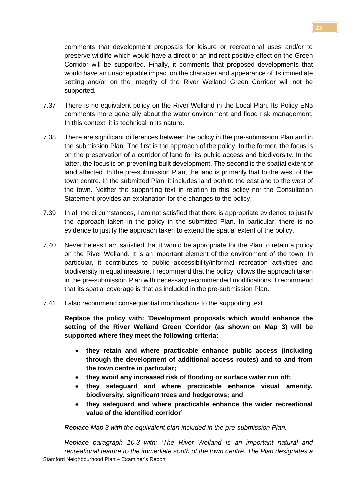comments that development proposals for leisure or recreational uses and/or to preserve wildlife which would have a direct or an indirect positive effect on the Green Corridor will be supported. Finally, it comments that proposed developments that would have an unacceptable impact on the character and appearance of its immediate setting and/or on the integrity of the River Welland Green Corridor will not be supported.

- 7.37 There is no equivalent policy on the River Welland in the Local Plan. Its Policy EN5 comments more generally about the water environment and flood risk management. In this context, it is technical in its nature.
- 7.38 There are significant differences between the policy in the pre-submission Plan and in the submission Plan. The first is the approach of the policy. In the former, the focus is on the preservation of a corridor of land for its public access and biodiversity. In the latter, the focus is on preventing built development. The second is the spatial extent of land affected. In the pre-submission Plan, the land is primarily that to the west of the town centre. In the submitted Plan, it includes land both to the east and to the west of the town. Neither the supporting text in relation to this policy nor the Consultation Statement provides an explanation for the changes to the policy.
- 7.39 In all the circumstances, I am not satisfied that there is appropriate evidence to justify the approach taken in the policy in the submitted Plan. In particular, there is no evidence to justify the approach taken to extend the spatial extent of the policy.
- 7.40 Nevertheless I am satisfied that it would be appropriate for the Plan to retain a policy on the River Welland. It is an important element of the environment of the town. In particular, it contributes to public accessibility/informal recreation activities and biodiversity in equal measure. I recommend that the policy follows the approach taken in the pre-submission Plan with necessary recommended modifications. I recommend that its spatial coverage is that as included in the pre-submission Plan.
- 7.41 I also recommend consequential modifications to the supporting text.

**Replace the policy with:** '**Development proposals which would enhance the setting of the River Welland Green Corridor (as shown on Map 3) will be supported where they meet the following criteria:**

- **they retain and where practicable enhance public access (including through the development of additional access routes) and to and from the town centre in particular;**
- **they avoid any increased risk of flooding or surface water run off;**
- **they safeguard and where practicable enhance visual amenity, biodiversity, significant trees and hedgerows; and**
- **they safeguard and where practicable enhance the wider recreational value of the identified corridor'**

*Replace Map 3 with the equivalent plan included in the pre-submission Plan.*

Stamford Neighbourhood Plan – Examiner's Report *Replace paragraph 10.3 with: 'The River Welland is an important natural and recreational feature to the immediate south of the town centre. The Plan designates a*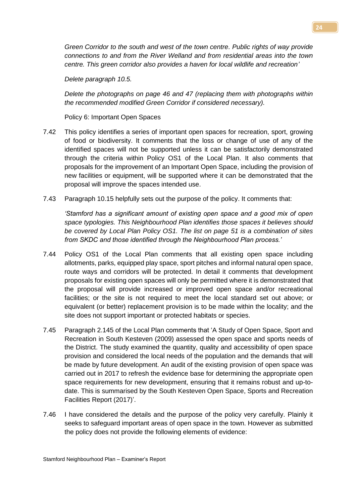*Green Corridor to the south and west of the town centre. Public rights of way provide connections to and from the River Welland and from residential areas into the town centre. This green corridor also provides a haven for local wildlife and recreation'*

*Delete paragraph 10.5.*

*Delete the photographs on page 46 and 47 (replacing them with photographs within the recommended modified Green Corridor if considered necessary).*

Policy 6: Important Open Spaces

- 7.42 This policy identifies a series of important open spaces for recreation, sport, growing of food or biodiversity. It comments that the loss or change of use of any of the identified spaces will not be supported unless it can be satisfactorily demonstrated through the criteria within Policy OS1 of the Local Plan. It also comments that proposals for the improvement of an Important Open Space, including the provision of new facilities or equipment, will be supported where it can be demonstrated that the proposal will improve the spaces intended use.
- 7.43 Paragraph 10.15 helpfully sets out the purpose of the policy. It comments that:

*'Stamford has a significant amount of existing open space and a good mix of open space typologies. This Neighbourhood Plan identifies those spaces it believes should be covered by Local Plan Policy OS1. The list on page 51 is a combination of sites from SKDC and those identified through the Neighbourhood Plan process.'*

- 7.44 Policy OS1 of the Local Plan comments that all existing open space including allotments, parks, equipped play space, sport pitches and informal natural open space, route ways and corridors will be protected. In detail it comments that development proposals for existing open spaces will only be permitted where it is demonstrated that the proposal will provide increased or improved open space and/or recreational facilities; or the site is not required to meet the local standard set out above; or equivalent (or better) replacement provision is to be made within the locality; and the site does not support important or protected habitats or species.
- 7.45 Paragraph 2.145 of the Local Plan comments that 'A Study of Open Space, Sport and Recreation in South Kesteven (2009) assessed the open space and sports needs of the District. The study examined the quantity, quality and accessibility of open space provision and considered the local needs of the population and the demands that will be made by future development. An audit of the existing provision of open space was carried out in 2017 to refresh the evidence base for determining the appropriate open space requirements for new development, ensuring that it remains robust and up-todate. This is summarised by the South Kesteven Open Space, Sports and Recreation Facilities Report (2017)'.
- 7.46 I have considered the details and the purpose of the policy very carefully. Plainly it seeks to safeguard important areas of open space in the town. However as submitted the policy does not provide the following elements of evidence: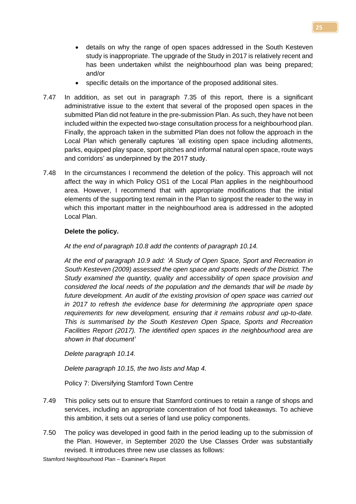- details on why the range of open spaces addressed in the South Kesteven study is inappropriate. The upgrade of the Study in 2017 is relatively recent and has been undertaken whilst the neighbourhood plan was being prepared; and/or
- specific details on the importance of the proposed additional sites.
- 7.47 In addition, as set out in paragraph 7.35 of this report, there is a significant administrative issue to the extent that several of the proposed open spaces in the submitted Plan did not feature in the pre-submission Plan. As such, they have not been included within the expected two-stage consultation process for a neighbourhood plan. Finally, the approach taken in the submitted Plan does not follow the approach in the Local Plan which generally captures 'all existing open space including allotments, parks, equipped play space, sport pitches and informal natural open space, route ways and corridors' as underpinned by the 2017 study.
- 7.48 In the circumstances I recommend the deletion of the policy. This approach will not affect the way in which Policy OS1 of the Local Plan applies in the neighbourhood area. However, I recommend that with appropriate modifications that the initial elements of the supporting text remain in the Plan to signpost the reader to the way in which this important matter in the neighbourhood area is addressed in the adopted Local Plan.

#### **Delete the policy.**

*At the end of paragraph 10.8 add the contents of paragraph 10.14.*

*At the end of paragraph 10.9 add: 'A Study of Open Space, Sport and Recreation in South Kesteven (2009) assessed the open space and sports needs of the District. The Study examined the quantity, quality and accessibility of open space provision and considered the local needs of the population and the demands that will be made by future development. An audit of the existing provision of open space was carried out in 2017 to refresh the evidence base for determining the appropriate open space requirements for new development, ensuring that it remains robust and up-to-date. This is summarised by the South Kesteven Open Space, Sports and Recreation Facilities Report (2017). The identified open spaces in the neighbourhood area are shown in that document'*

*Delete paragraph 10.14.*

*Delete paragraph 10.15, the two lists and Map 4.*

Policy 7: Diversifying Stamford Town Centre

- 7.49 This policy sets out to ensure that Stamford continues to retain a range of shops and services, including an appropriate concentration of hot food takeaways. To achieve this ambition, it sets out a series of land use policy components.
- 7.50 The policy was developed in good faith in the period leading up to the submission of the Plan. However, in September 2020 the Use Classes Order was substantially revised. It introduces three new use classes as follows: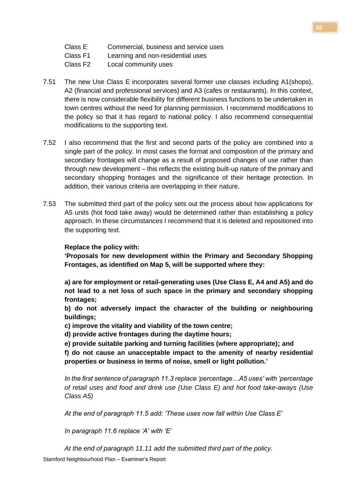- Class F1 Learning and non-residential uses
- Class F2 Local community uses
- 7.51 The new Use Class E incorporates several former use classes including A1(shops), A2 (financial and professional services) and A3 (cafes or restaurants). In this context, there is now considerable flexibility for different business functions to be undertaken in town centres without the need for planning permission. I recommend modifications to the policy so that it has regard to national policy. I also recommend consequential modifications to the supporting text.
- 7.52 I also recommend that the first and second parts of the policy are combined into a single part of the policy. In most cases the format and composition of the primary and secondary frontages will change as a result of proposed changes of use rather than through new development – this reflects the existing built-up nature of the primary and secondary shopping frontages and the significance of their heritage protection. In addition, their various criteria are overlapping in their nature.
- 7.53 The submitted third part of the policy sets out the process about how applications for A5 units (hot food take away) would be determined rather than establishing a policy approach. In these circumstances I recommend that it is deleted and repositioned into the supporting text.

# **Replace the policy with:**

**'Proposals for new development within the Primary and Secondary Shopping Frontages, as identified on Map 5, will be supported where they:**

**a) are for employment or retail-generating uses (Use Class E, A4 and A5) and do not lead to a net loss of such space in the primary and secondary shopping frontages;** 

**b) do not adversely impact the character of the building or neighbouring buildings;** 

**c) improve the vitality and viability of the town centre;** 

**d) provide active frontages during the daytime hours;**

**e) provide suitable parking and turning facilities (where appropriate); and**

**f) do not cause an unacceptable impact to the amenity of nearby residential properties or business in terms of noise, smell or light pollution.'**

*In the first sentence of paragraph 11.3 replace 'percentage…A5 uses' with 'percentage of retail uses and food and drink use (Use Class E) and hot food take-aways (Use Class A5)*

*At the end of paragraph 11.5 add: 'These uses now fall within Use Class E'*

*In paragraph 11.6 replace 'A' with 'E'*

*At the end of paragraph 11.11 add the submitted third part of the policy.*

Stamford Neighbourhood Plan – Examiner's Report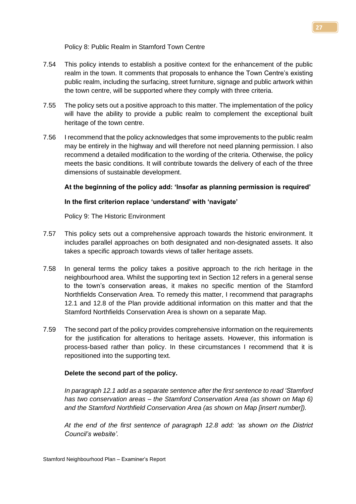Policy 8: Public Realm in Stamford Town Centre

- 7.54 This policy intends to establish a positive context for the enhancement of the public realm in the town. It comments that proposals to enhance the Town Centre's existing public realm, including the surfacing, street furniture, signage and public artwork within the town centre, will be supported where they comply with three criteria.
- 7.55 The policy sets out a positive approach to this matter. The implementation of the policy will have the ability to provide a public realm to complement the exceptional built heritage of the town centre.
- 7.56 I recommend that the policy acknowledges that some improvements to the public realm may be entirely in the highway and will therefore not need planning permission. I also recommend a detailed modification to the wording of the criteria. Otherwise, the policy meets the basic conditions. It will contribute towards the delivery of each of the three dimensions of sustainable development.

# **At the beginning of the policy add: 'Insofar as planning permission is required'**

# **In the first criterion replace 'understand' with 'navigate'**

Policy 9: The Historic Environment

- 7.57 This policy sets out a comprehensive approach towards the historic environment. It includes parallel approaches on both designated and non-designated assets. It also takes a specific approach towards views of taller heritage assets.
- 7.58 In general terms the policy takes a positive approach to the rich heritage in the neighbourhood area. Whilst the supporting text in Section 12 refers in a general sense to the town's conservation areas, it makes no specific mention of the Stamford Northfields Conservation Area. To remedy this matter, I recommend that paragraphs 12.1 and 12.8 of the Plan provide additional information on this matter and that the Stamford Northfields Conservation Area is shown on a separate Map.
- 7.59 The second part of the policy provides comprehensive information on the requirements for the justification for alterations to heritage assets. However, this information is process-based rather than policy. In these circumstances I recommend that it is repositioned into the supporting text.

#### **Delete the second part of the policy.**

*In paragraph 12.1 add as a separate sentence after the first sentence to read 'Stamford has two conservation areas – the Stamford Conservation Area (as shown on Map 6) and the Stamford Northfield Conservation Area (as shown on Map [insert number]).*

*At the end of the first sentence of paragraph 12.8 add: 'as shown on the District Council's website'.*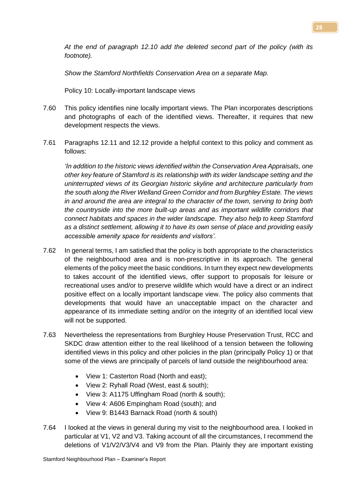*At the end of paragraph 12.10 add the deleted second part of the policy (with its footnote).*

*Show the Stamford Northfields Conservation Area on a separate Map.*

Policy 10: Locally-important landscape views

- 7.60 This policy identifies nine locally important views. The Plan incorporates descriptions and photographs of each of the identified views. Thereafter, it requires that new development respects the views.
- 7.61 Paragraphs 12.11 and 12.12 provide a helpful context to this policy and comment as follows:

*'In addition to the historic views identified within the Conservation Area Appraisals, one other key feature of Stamford is its relationship with its wider landscape setting and the uninterrupted views of its Georgian historic skyline and architecture particularly from the south along the River Welland Green Corridor and from Burghley Estate. The views in and around the area are integral to the character of the town, serving to bring both the countryside into the more built-up areas and as important wildlife corridors that connect habitats and spaces in the wider landscape. They also help to keep Stamford as a distinct settlement, allowing it to have its own sense of place and providing easily accessible amenity space for residents and visitors'.* 

- 7.62 In general terms, I am satisfied that the policy is both appropriate to the characteristics of the neighbourhood area and is non-prescriptive in its approach. The general elements of the policy meet the basic conditions. In turn they expect new developments to takes account of the identified views, offer support to proposals for leisure or recreational uses and/or to preserve wildlife which would have a direct or an indirect positive effect on a locally important landscape view. The policy also comments that developments that would have an unacceptable impact on the character and appearance of its immediate setting and/or on the integrity of an identified local view will not be supported.
- 7.63 Nevertheless the representations from Burghley House Preservation Trust, RCC and SKDC draw attention either to the real likelihood of a tension between the following identified views in this policy and other policies in the plan (principally Policy 1) or that some of the views are principally of parcels of land outside the neighbourhood area:
	- View 1: Casterton Road (North and east);
	- View 2: Ryhall Road (West, east & south);
	- View 3: A1175 Uffingham Road (north & south);
	- View 4: A606 Empingham Road (south); and
	- View 9: B1443 Barnack Road (north & south)
- 7.64 I looked at the views in general during my visit to the neighbourhood area. I looked in particular at V1, V2 and V3. Taking account of all the circumstances, I recommend the deletions of V1/V2/V3/V4 and V9 from the Plan. Plainly they are important existing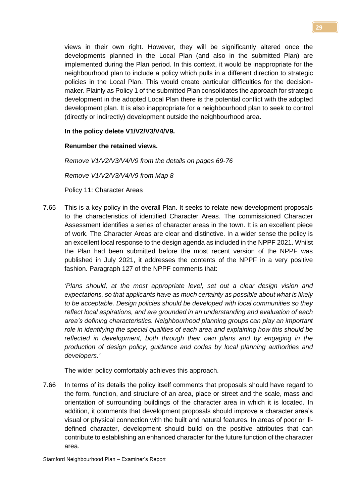views in their own right. However, they will be significantly altered once the developments planned in the Local Plan (and also in the submitted Plan) are implemented during the Plan period. In this context, it would be inappropriate for the neighbourhood plan to include a policy which pulls in a different direction to strategic policies in the Local Plan. This would create particular difficulties for the decisionmaker. Plainly as Policy 1 of the submitted Plan consolidates the approach for strategic development in the adopted Local Plan there is the potential conflict with the adopted development plan. It is also inappropriate for a neighbourhood plan to seek to control (directly or indirectly) development outside the neighbourhood area.

#### **In the policy delete V1/V2/V3/V4/V9.**

#### **Renumber the retained views.**

*Remove V1/V2/V3/V4/V9 from the details on pages 69-76*

*Remove V1/V2/V3/V4/V9 from Map 8*

Policy 11: Character Areas

7.65 This is a key policy in the overall Plan. It seeks to relate new development proposals to the characteristics of identified Character Areas. The commissioned Character Assessment identifies a series of character areas in the town. It is an excellent piece of work. The Character Areas are clear and distinctive. In a wider sense the policy is an excellent local response to the design agenda as included in the NPPF 2021. Whilst the Plan had been submitted before the most recent version of the NPPF was published in July 2021, it addresses the contents of the NPPF in a very positive fashion. Paragraph 127 of the NPPF comments that:

*'Plans should, at the most appropriate level, set out a clear design vision and expectations, so that applicants have as much certainty as possible about what is likely to be acceptable. Design policies should be developed with local communities so they reflect local aspirations, and are grounded in an understanding and evaluation of each area's defining characteristics. Neighbourhood planning groups can play an important role in identifying the special qualities of each area and explaining how this should be reflected in development, both through their own plans and by engaging in the production of design policy, guidance and codes by local planning authorities and developers.'*

The wider policy comfortably achieves this approach.

7.66 In terms of its details the policy itself comments that proposals should have regard to the form, function, and structure of an area, place or street and the scale, mass and orientation of surrounding buildings of the character area in which it is located. In addition, it comments that development proposals should improve a character area's visual or physical connection with the built and natural features. In areas of poor or illdefined character, development should build on the positive attributes that can contribute to establishing an enhanced character for the future function of the character area.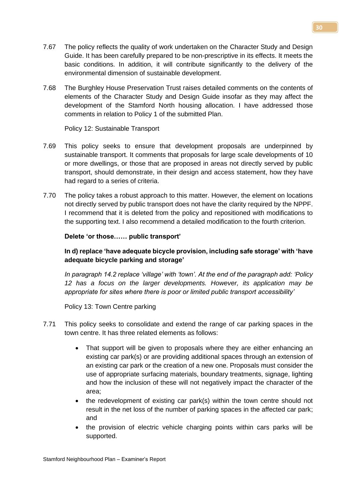- 7.67 The policy reflects the quality of work undertaken on the Character Study and Design Guide. It has been carefully prepared to be non-prescriptive in its effects. It meets the basic conditions. In addition, it will contribute significantly to the delivery of the environmental dimension of sustainable development.
- 7.68 The Burghley House Preservation Trust raises detailed comments on the contents of elements of the Character Study and Design Guide insofar as they may affect the development of the Stamford North housing allocation. I have addressed those comments in relation to Policy 1 of the submitted Plan.

Policy 12: Sustainable Transport

- 7.69 This policy seeks to ensure that development proposals are underpinned by sustainable transport. It comments that proposals for large scale developments of 10 or more dwellings, or those that are proposed in areas not directly served by public transport, should demonstrate, in their design and access statement, how they have had regard to a series of criteria.
- 7.70 The policy takes a robust approach to this matter. However, the element on locations not directly served by public transport does not have the clarity required by the NPPF. I recommend that it is deleted from the policy and repositioned with modifications to the supporting text. I also recommend a detailed modification to the fourth criterion.

# **Delete 'or those…… public transport'**

**In d) replace 'have adequate bicycle provision, including safe storage' with 'have adequate bicycle parking and storage'**

*In paragraph 14.2 replace 'village' with 'town'. At the end of the paragraph add: 'Policy 12 has a focus on the larger developments. However, its application may be appropriate for sites where there is poor or limited public transport accessibility'*

Policy 13: Town Centre parking

- 7.71 This policy seeks to consolidate and extend the range of car parking spaces in the town centre. It has three related elements as follows:
	- That support will be given to proposals where they are either enhancing an existing car park(s) or are providing additional spaces through an extension of an existing car park or the creation of a new one. Proposals must consider the use of appropriate surfacing materials, boundary treatments, signage, lighting and how the inclusion of these will not negatively impact the character of the area;
	- the redevelopment of existing car park(s) within the town centre should not result in the net loss of the number of parking spaces in the affected car park; and
	- the provision of electric vehicle charging points within cars parks will be supported.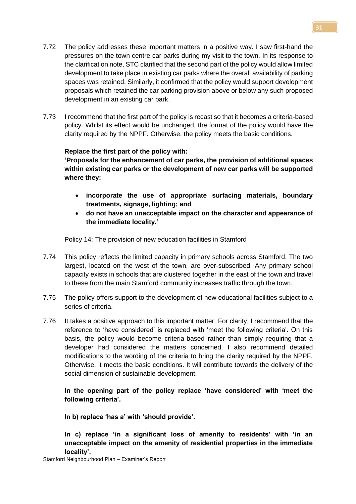- 7.72 The policy addresses these important matters in a positive way. I saw first-hand the pressures on the town centre car parks during my visit to the town. In its response to the clarification note, STC clarified that the second part of the policy would allow limited development to take place in existing car parks where the overall availability of parking spaces was retained. Similarly, it confirmed that the policy would support development proposals which retained the car parking provision above or below any such proposed development in an existing car park.
- 7.73 I recommend that the first part of the policy is recast so that it becomes a criteria-based policy. Whilst its effect would be unchanged, the format of the policy would have the clarity required by the NPPF. Otherwise, the policy meets the basic conditions.

# **Replace the first part of the policy with:**

**'Proposals for the enhancement of car parks, the provision of additional spaces within existing car parks or the development of new car parks will be supported where they:** 

- **incorporate the use of appropriate surfacing materials, boundary treatments, signage, lighting; and**
- **do not have an unacceptable impact on the character and appearance of the immediate locality.'**

Policy 14: The provision of new education facilities in Stamford

- 7.74 This policy reflects the limited capacity in primary schools across Stamford. The two largest, located on the west of the town, are over-subscribed. Any primary school capacity exists in schools that are clustered together in the east of the town and travel to these from the main Stamford community increases traffic through the town.
- 7.75 The policy offers support to the development of new educational facilities subject to a series of criteria.
- 7.76 It takes a positive approach to this important matter. For clarity, I recommend that the reference to 'have considered' is replaced with 'meet the following criteria'. On this basis, the policy would become criteria-based rather than simply requiring that a developer had considered the matters concerned. I also recommend detailed modifications to the wording of the criteria to bring the clarity required by the NPPF. Otherwise, it meets the basic conditions. It will contribute towards the delivery of the social dimension of sustainable development.

**In the opening part of the policy replace 'have considered' with 'meet the following criteria'.**

**In b) replace 'has a' with 'should provide'.**

**In c) replace 'in a significant loss of amenity to residents' with 'in an unacceptable impact on the amenity of residential properties in the immediate locality'.**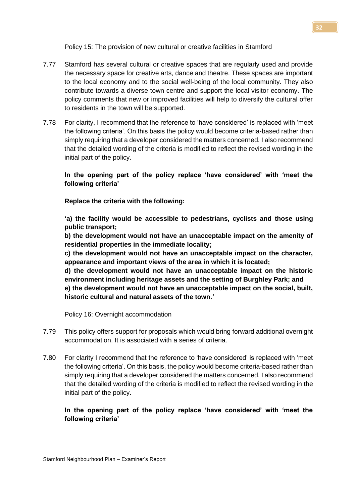Policy 15: The provision of new cultural or creative facilities in Stamford

- 7.77 Stamford has several cultural or creative spaces that are regularly used and provide the necessary space for creative arts, dance and theatre. These spaces are important to the local economy and to the social well-being of the local community. They also contribute towards a diverse town centre and support the local visitor economy. The policy comments that new or improved facilities will help to diversify the cultural offer to residents in the town will be supported.
- 7.78 For clarity, I recommend that the reference to 'have considered' is replaced with 'meet the following criteria'. On this basis the policy would become criteria-based rather than simply requiring that a developer considered the matters concerned. I also recommend that the detailed wording of the criteria is modified to reflect the revised wording in the initial part of the policy.

# **In the opening part of the policy replace 'have considered' with 'meet the following criteria'**

**Replace the criteria with the following:**

**'a) the facility would be accessible to pedestrians, cyclists and those using public transport;** 

**b) the development would not have an unacceptable impact on the amenity of residential properties in the immediate locality;** 

**c) the development would not have an unacceptable impact on the character, appearance and important views of the area in which it is located;**

**d) the development would not have an unacceptable impact on the historic environment including heritage assets and the setting of Burghley Park; and** 

**e) the development would not have an unacceptable impact on the social, built, historic cultural and natural assets of the town.'**

Policy 16: Overnight accommodation

- 7.79 This policy offers support for proposals which would bring forward additional overnight accommodation. It is associated with a series of criteria.
- 7.80 For clarity I recommend that the reference to 'have considered' is replaced with 'meet the following criteria'. On this basis, the policy would become criteria-based rather than simply requiring that a developer considered the matters concerned. I also recommend that the detailed wording of the criteria is modified to reflect the revised wording in the initial part of the policy.

**In the opening part of the policy replace 'have considered' with 'meet the following criteria'**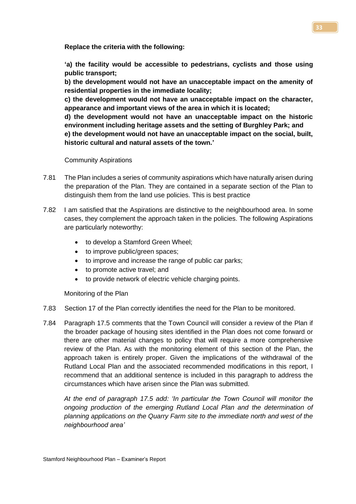**Replace the criteria with the following:**

**'a) the facility would be accessible to pedestrians, cyclists and those using public transport;** 

**b) the development would not have an unacceptable impact on the amenity of residential properties in the immediate locality;** 

**c) the development would not have an unacceptable impact on the character, appearance and important views of the area in which it is located;**

**d) the development would not have an unacceptable impact on the historic environment including heritage assets and the setting of Burghley Park; and e) the development would not have an unacceptable impact on the social, built,** 

**historic cultural and natural assets of the town.'**

Community Aspirations

- 7.81 The Plan includes a series of community aspirations which have naturally arisen during the preparation of the Plan. They are contained in a separate section of the Plan to distinguish them from the land use policies. This is best practice
- 7.82 I am satisfied that the Aspirations are distinctive to the neighbourhood area. In some cases, they complement the approach taken in the policies. The following Aspirations are particularly noteworthy:
	- to develop a Stamford Green Wheel;
	- to improve public/green spaces;
	- to improve and increase the range of public car parks;
	- to promote active travel; and
	- to provide network of electric vehicle charging points.

Monitoring of the Plan

- 7.83 Section 17 of the Plan correctly identifies the need for the Plan to be monitored.
- 7.84 Paragraph 17.5 comments that the Town Council will consider a review of the Plan if the broader package of housing sites identified in the Plan does not come forward or there are other material changes to policy that will require a more comprehensive review of the Plan. As with the monitoring element of this section of the Plan, the approach taken is entirely proper. Given the implications of the withdrawal of the Rutland Local Plan and the associated recommended modifications in this report, I recommend that an additional sentence is included in this paragraph to address the circumstances which have arisen since the Plan was submitted.

*At the end of paragraph 17.5 add: 'In particular the Town Council will monitor the ongoing production of the emerging Rutland Local Plan and the determination of planning applications on the Quarry Farm site to the immediate north and west of the neighbourhood area'*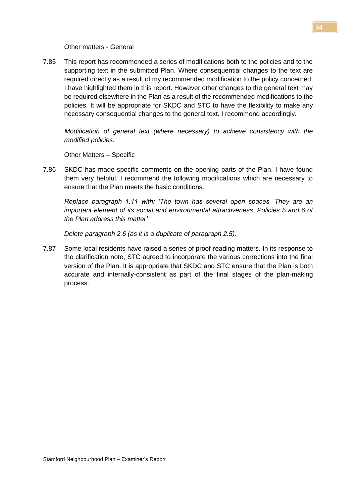Other matters - General

7.85 This report has recommended a series of modifications both to the policies and to the supporting text in the submitted Plan. Where consequential changes to the text are required directly as a result of my recommended modification to the policy concerned, I have highlighted them in this report. However other changes to the general text may be required elsewhere in the Plan as a result of the recommended modifications to the policies. It will be appropriate for SKDC and STC to have the flexibility to make any necessary consequential changes to the general text. I recommend accordingly.

*Modification of general text (where necessary) to achieve consistency with the modified policies.*

Other Matters – Specific

7.86 SKDC has made specific comments on the opening parts of the Plan. I have found them very helpful. I recommend the following modifications which are necessary to ensure that the Plan meets the basic conditions.

*Replace paragraph 1.11 with: 'The town has several open spaces. They are an important element of its social and environmental attractiveness. Policies 5 and 6 of the Plan address this matter'*

*Delete paragraph 2.6 (as it is a duplicate of paragraph 2.5).*

7.87 Some local residents have raised a series of proof-reading matters. In its response to the clarification note, STC agreed to incorporate the various corrections into the final version of the Plan. It is appropriate that SKDC and STC ensure that the Plan is both accurate and internally-consistent as part of the final stages of the plan-making process.